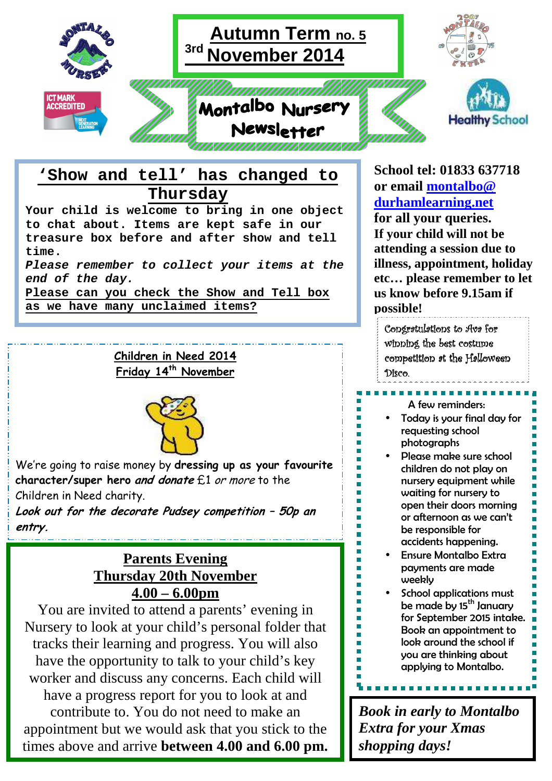